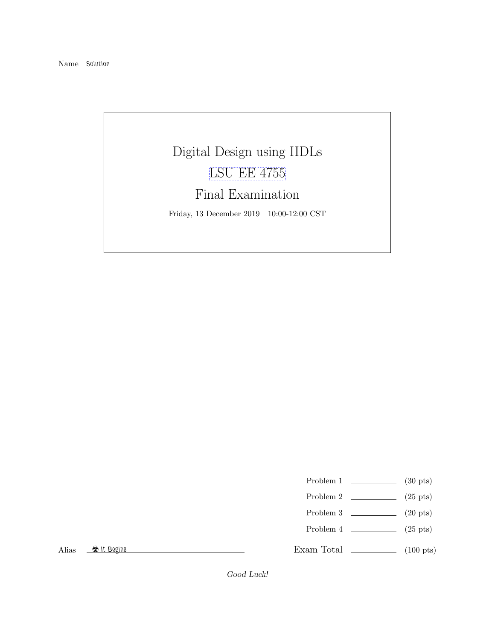## Digital Design using HDLs [LSU EE 4755](https://www.ece.lsu.edu/koppel/v/) Final Examination Friday, 13 December 2019 10:00-12:00 CST

- Problem 1  $\qquad \qquad$  (30 pts)
- Problem 2  $\qquad \qquad (25 \text{ pts})$
- Problem 3  $\qquad \qquad$  (20 pts)
- Problem 4  $\qquad \qquad (25 \text{ pts})$

Alias  $\frac{\otimes \text{It begins}}{\cdots}$ 

Exam Total \_\_\_\_\_\_\_\_\_\_\_\_\_ (100 pts)

Good Luck!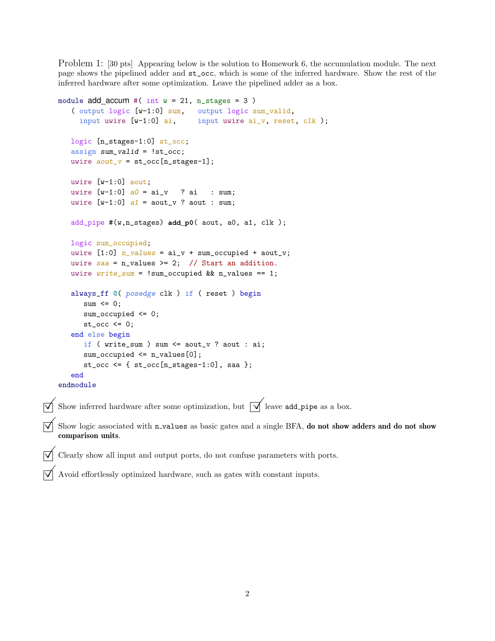Problem 1: [30 pts] Appearing below is the solution to Homework 6, the accumulation module. The next page shows the pipelined adder and st\_occ, which is some of the inferred hardware. Show the rest of the inferred hardware after some optimization. Leave the pipelined adder as a box.

```
module add\_accum #( int w = 21, n\_stages = 3)
   ( output logic [w-1:0] sum, output logic sum_valid,
     input uwire [w-1:0] ai, input uwire ai_v, reset, clk );
   logic [n_stages-1:0] st_occ;
   assign sum_valid = !st_occ;
   uwire aout_v = st\_occ[n\_stages-1];uwire [w-1:0] aout;
   uwire [w-1:0] a0 = ai_v ? ai : sum;
   uwire [w-1:0] a1 = aout_v ? aout : sum;
   add_pipe #(w,n_stages) add_p0( aout, a0, a1, clk );
   logic sum_occupied;
   uwire [1:0] n_values = ai_v + sum_occupied + aout_v;
   uwire saa = n_values \ge 2; // Start an addition.
   uwire write\_sum = !sum\_occupied && n_values == 1;
   always_ff @( posedge clk ) if ( reset ) begin
      sum \le 0;
      sum_occupied <= 0;
      st\_occ \leq 0;end else begin
      if ( write_sum ) sum <= aout_v ? aout : ai;
      sum\_occupied \le n\_values[0];st_occ <= \{ st_occ[n_stages-1:0], saa \};end
endmodule
Show inferred hardware after some optimization, but \overrightarrow{\mathsf{V}} leave add pipe as a box.
Show logic associated with n_values as basic gates and a single BFA, do not show adders and do not show
comparison units.
```
Clearly show all input and output ports, do not confuse parameters with ports.

 $\vert \overrightarrow{\bigvee} \vert$  Avoid effortlessly optimized hardware, such as gates with constant inputs.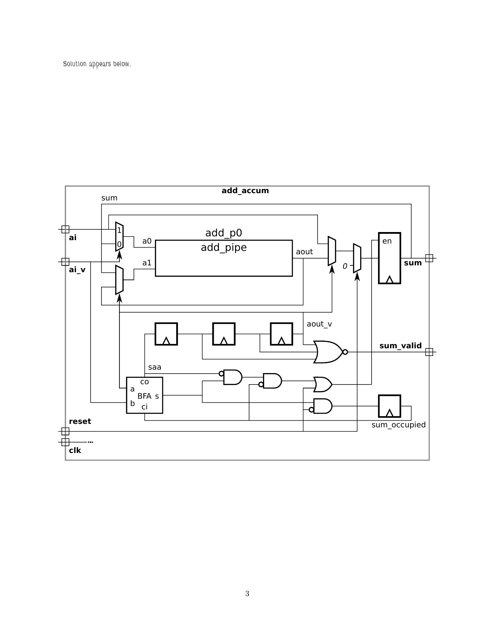Solution appears below.

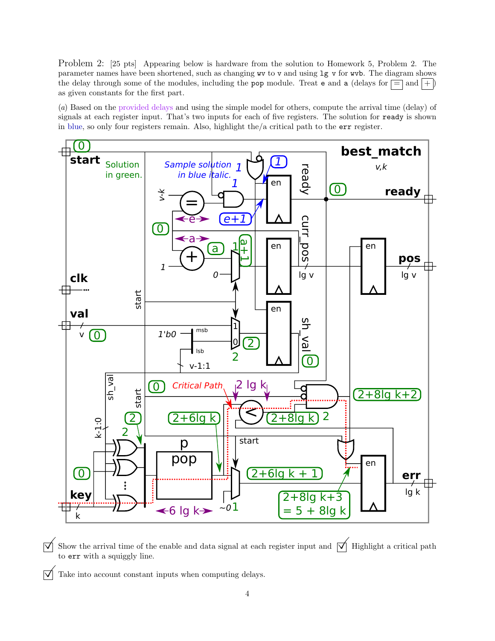Problem 2: [25 pts] Appearing below is hardware from the solution to Homework 5, Problem 2. The parameter names have been shortened, such as changing wv to v and using lg v for wvb. The diagram shows the delay through some of the modules, including the pop module. Treat e and a (delays for  $\equiv$  and  $|+|$ ) as given constants for the first part.

(a) Based on the provided delays and using the simple model for others, compute the arrival time (delay) of signals at each register input. That's two inputs for each of five registers. The solution for ready is shown in blue, so only four registers remain. Also, highlight the/a critical path to the err register.



 $\overrightarrow{\mathcal{A}}$  Show the arrival time of the enable and data signal at each register input and  $\overrightarrow{\mathcal{A}}$  Highlight a critical path to err with a squiggly line.

 $\overrightarrow{\mathcal{A}}$  Take into account constant inputs when computing delays.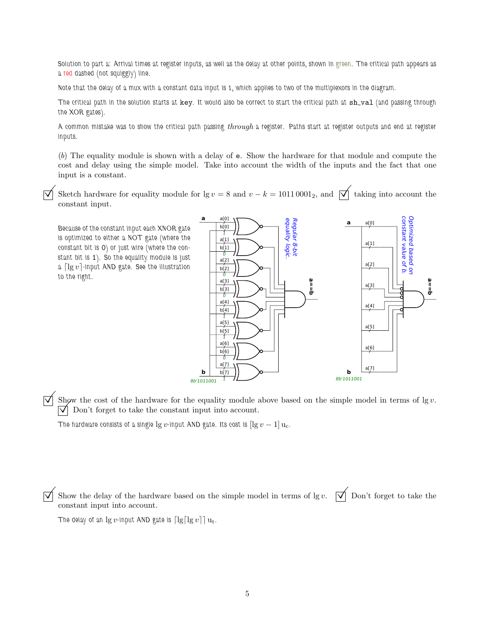Solution to part a: Arrival times at register inputs, as well as the delay at other points, shown in green. The critical path appears as a red dashed (not squiggly) line.

Note that the delay of a mux with a constant data input is 1, which applies to two of the multiplexors in the diagram.

The critical path in the solution starts at key. It would also be correct to start the critical path at sh\_val (and passing through the XOR gates).

A common mistake was to show the critical path passing through a register. Paths start at register outputs and end at register inputs.

(b) The equality module is shown with a delay of e. Show the hardware for that module and compute the cost and delay using the simple model. Take into account the width of the inputs and the fact that one input is a constant.

Sketch hardware for equality module for lg v = 8 and v – k = 1011 0001<sub>2</sub>, and  $\overrightarrow{\bigvee}$  taking into account the constant input.

Because of the constant input each XNOR gate is optimized to either a NOT gate (where the constant bit is 0) or just wire (where the constant bit is 1). So the equality module is just a  $\lceil \lg v \rceil$ -input AND gate. See the illustration to the right.



Show the cost of the hardware for the equality module above based on the simple model in terms of  $\lg v$ .  $\overrightarrow{\mathsf{V}}$  Don't forget to take the constant input into account.

The hardware consists of a single  $\lg v$ -input AND gate. Its cost is  $[\lg v - 1] u_c$ .

Show the delay of the hardware based on the simple model in terms of lg v.  $\forall$  Don't forget to take the constant input into account.

The delay of an  $\lg v$ -input AND gate is  $\lceil \lg \lceil \lg v \rceil \rceil u_t$ .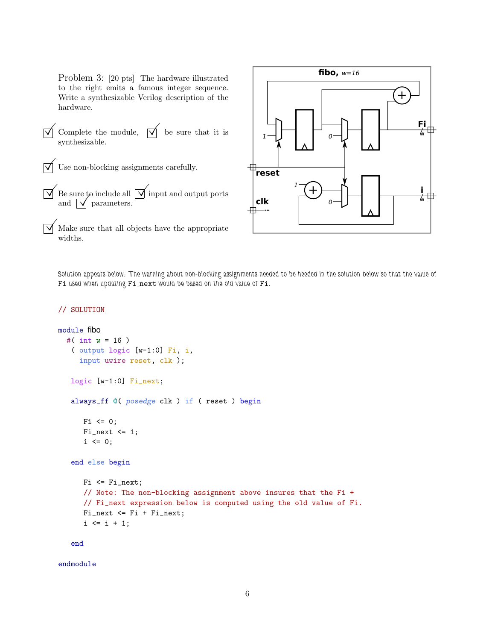Problem 3: [20 pts] The hardware illustrated to the right emits a famous integer sequence. Write a synthesizable Verilog description of the hardware.

 $\overrightarrow{\mathsf{q}}$  Complete the module,  $\overrightarrow{\mathsf{q}}$  be sure that it is synthesizable.

 $\triangledown$  Use non-blocking assignments carefully.

- $\overrightarrow{v}$  Be sure to include all  $\overrightarrow{v}$  input and output ports and  $\sqrt{\phantom{a}}$  parameters.
	- Make sure that all objects have the appropriate widths.



Solution appears below. The warning about non-blocking assignments needed to be heeded in the solution below so that the value of Fi used when updating Fi next would be based on the old value of Fi.

## // SOLUTION

```
module fibo
  #( int w = 16 )
   ( output logic [w-1:0] Fi, i,
     input uwire reset, clk );
   logic [w-1:0] Fi_next;
   always_ff @( posedge clk ) if ( reset ) begin
      Fi \leq 0;
      Fi\_next \leq 1;i \leq 0;end else begin
      Fi <= Fi_next;
      // Note: The non-blocking assignment above insures that the Fi +
      // Fi_next expression below is computed using the old value of Fi.
      Fi_next <= Fi + Fi_next;
      i \le i + 1;
```
end

endmodule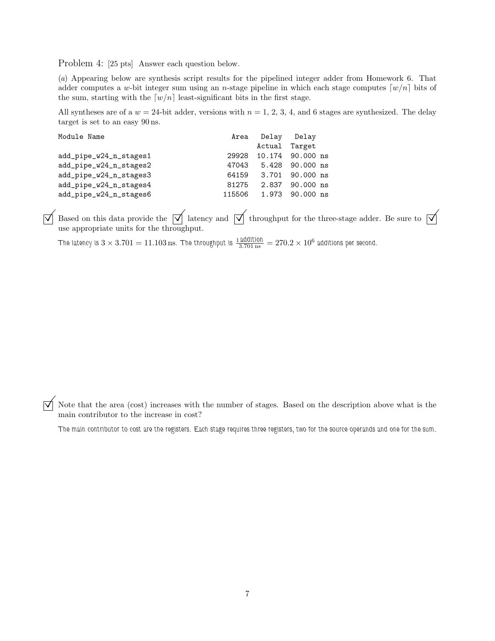Problem 4: [25 pts] Answer each question below.

(a) Appearing below are synthesis script results for the pipelined integer adder from Homework 6. That adder computes a w-bit integer sum using an *n*-stage pipeline in which each stage computes  $[w/n]$  bits of the sum, starting with the  $[w/n]$  least-significant bits in the first stage.

All syntheses are of a  $w = 24$ -bit adder, versions with  $n = 1, 2, 3, 4$ , and 6 stages are synthesized. The delay target is set to an easy 90 ns.

| Module Name            |        | Area Delay Delay |                       |
|------------------------|--------|------------------|-----------------------|
|                        |        |                  | Actual Target         |
| add_pipe_w24_n_stages1 | 29928  |                  | 10.174 90.000 ns      |
| add_pipe_w24_n_stages2 | 47043  |                  | 5.428 90.000 ns       |
| add_pipe_w24_n_stages3 |        |                  | 64159 3.701 90.000 ns |
| add_pipe_w24_n_stages4 | 81275  |                  | 2.837 90.000 ns       |
| add_pipe_w24_n_stages6 | 115506 |                  | 1.973 90.000 ns       |

 $\overline{\vee}$  Based on this data provide the  $\overline{\vee}$  latency and  $\overline{\vee}$  throughput for the three-stage adder. Be sure to  $\overline{\vee}$  use appropriate units for the throughput.

The latency is  $3\times3.701=11.103\,\text{ns}$ . The throughput is  $\frac{1\,\text{addition}}{3.701\,\text{ns}}=270.2\times10^6$  additions per second.

 $\overline{\mathbf{y}}$  Note that the area (cost) increases with the number of stages. Based on the description above what is the main contributor to the increase in cost?

The main contributor to cost are the registers. Each stage requires three registers, two for the source operands and one for the sum.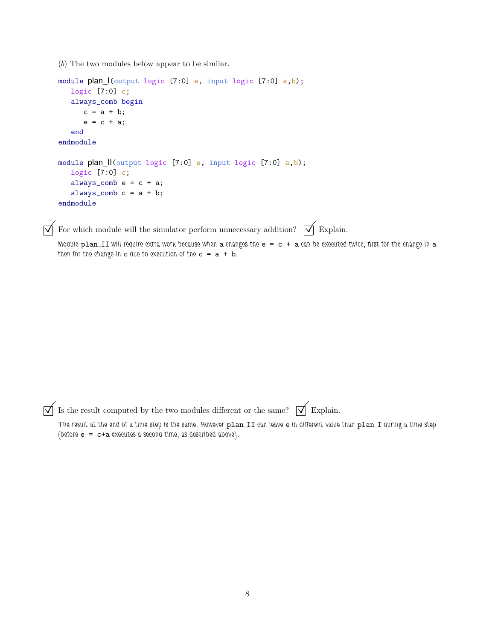(b) The two modules below appear to be similar.

```
module plan_I(output logic [7:0] e, input logic [7:0] a,b);
  logic [7:0] c;
   always_comb begin
     c = a + b;e = c + a;end
endmodule
module plan_II(output logic [7:0] e, input logic [7:0] a,b);
   logic [7:0] c;
   always_comb e = c + a;
   always_comb c = a + b;
endmodule
```
 $\overrightarrow{\mathcal{A}}$  For which module will the simulator perform unnecessary addition?  $\overrightarrow{\mathcal{A}}$  Explain.

Module  $plan\_II$  will require extra work because when a changes the  $e = c + a$  can be executed twice, first for the change in a then for the change in c due to execution of the  $c = a + b$ .

 $\overrightarrow{\mathcal{A}}$  Is the result computed by the two modules different or the same?  $\overrightarrow{\mathcal{A}}$  Explain.

The result at the end of a time step is the same. However plan\_II can leave e in different value than plan\_I during a time step (before e = c+a executes a second time, as described above).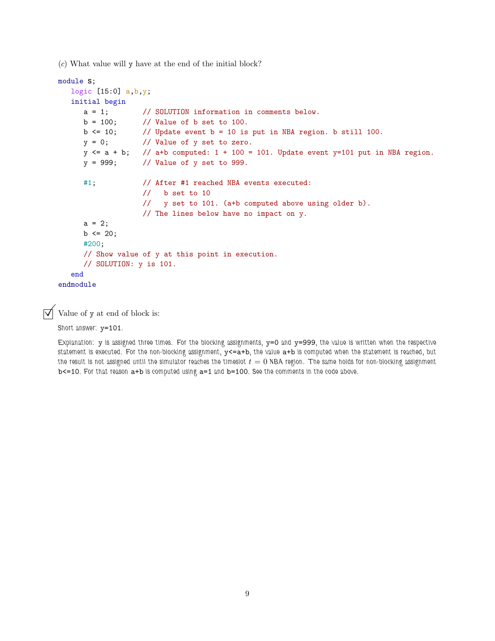(c) What value will y have at the end of the initial block?

```
module s;
  logic [15:0] a,b,y;
  initial begin
     a = 1; // SOLUTION information in comments below.
     b = 100; // Value of b set to 100.
     b \le 10; // Update event b = 10 is put in NBA region. b still 100.
     y = 0; // Value of y set to zero.
     y \le a + b; // a+b computed: 1 + 100 = 101. Update event y=101 put in NBA region.
     y = 999; // Value of y set to 999.
     #1; // After #1 reached NBA events executed:
                  // b set to 10
                  // y set to 101. (a+b computed above using older b).
                  // The lines below have no impact on y.
     a = 2;b \le 20;#200;
     // Show value of y at this point in execution.
     // SOLUTION: y is 101.
  end
endmodule
```
 $\triangledown$  Value of y at end of block is:

Short answer: y=101.

Explanation:  $y$  is assigned three times. For the blocking assignments,  $y=0$  and  $y=999$ , the value is written when the respective statement is executed. For the non-blocking assignment,  $y \leq a + b$ , the value  $a + b$  is computed when the statement is reached, but the result is not assigned until the simulator reaches the timeslot  $t = 0$  NBA region. The same holds for non-blocking assignment b<=10. For that reason a+b is computed using a=1 and b=100. See the comments in the code above.